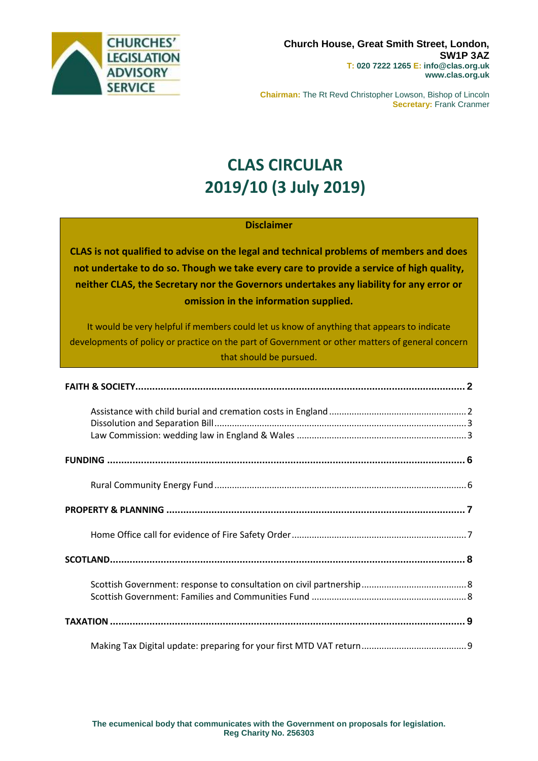

**Chairman:** The Rt Revd Christopher Lowson, Bishop of Lincoln **Secretary:** Frank Cranmer

# **CLAS CIRCULAR 2019/10 (3 July 2019)**

### **Disclaimer**

**CLAS is not qualified to advise on the legal and technical problems of members and does not undertake to do so. Though we take every care to provide a service of high quality, neither CLAS, the Secretary nor the Governors undertakes any liability for any error or omission in the information supplied.**

It would be very helpful if members could let us know of anything that appears to indicate developments of policy or practice on the part of Government or other matters of general concern that should be pursued.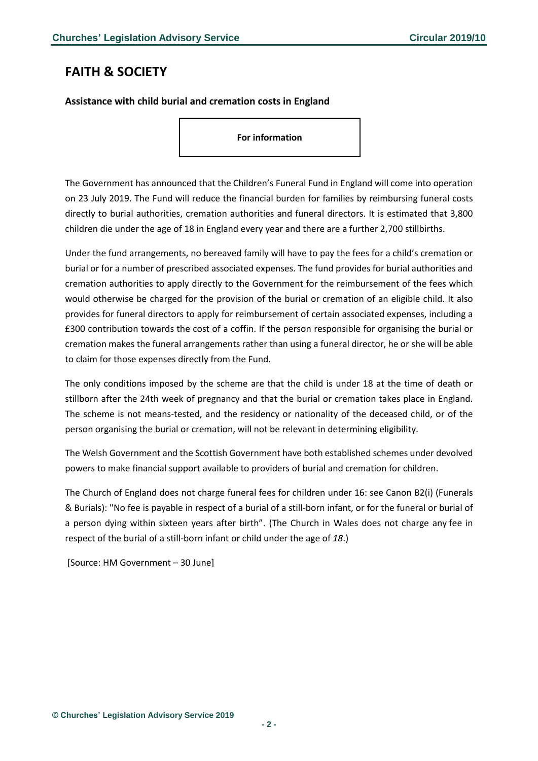### <span id="page-1-0"></span>**FAITH & SOCIETY**

#### <span id="page-1-1"></span>**Assistance with child burial and cremation costs in England**

**For information**

The Government has announced that the Children's Funeral Fund in England will come into operation on 23 July 2019. The Fund will reduce the financial burden for families by reimbursing funeral costs directly to burial authorities, cremation authorities and funeral directors. It is estimated that 3,800 children die under the age of 18 in England every year and there are a further 2,700 stillbirths.

Under the fund arrangements, no bereaved family will have to pay the fees for a child's cremation or burial or for a number of prescribed associated expenses. The fund provides for burial authorities and cremation authorities to apply directly to the Government for the reimbursement of the fees which would otherwise be charged for the provision of the burial or cremation of an eligible child. It also provides for funeral directors to apply for reimbursement of certain associated expenses, including a £300 contribution towards the cost of a coffin. If the person responsible for organising the burial or cremation makes the funeral arrangements rather than using a funeral director, he or she will be able to claim for those expenses directly from the Fund.

The only conditions imposed by the scheme are that the child is under 18 at the time of death or stillborn after the 24th week of pregnancy and that the burial or cremation takes place in England. The scheme is not means-tested, and the residency or nationality of the deceased child, or of the person organising the burial or cremation, will not be relevant in determining eligibility.

The Welsh Government and the Scottish Government have both established schemes under devolved powers to make financial support available to providers of burial and cremation for children.

The Church of England does not charge funeral fees for children under 16: see Canon B2(i) (Funerals & Burials): "No fee is payable in respect of a burial of a still-born infant, or for the funeral or burial of a person dying within sixteen years after birth". (The Church in Wales does not charge any fee in respect of the burial of a still‐born infant or child under the age of *18*.)

[Source: HM Government – 30 June]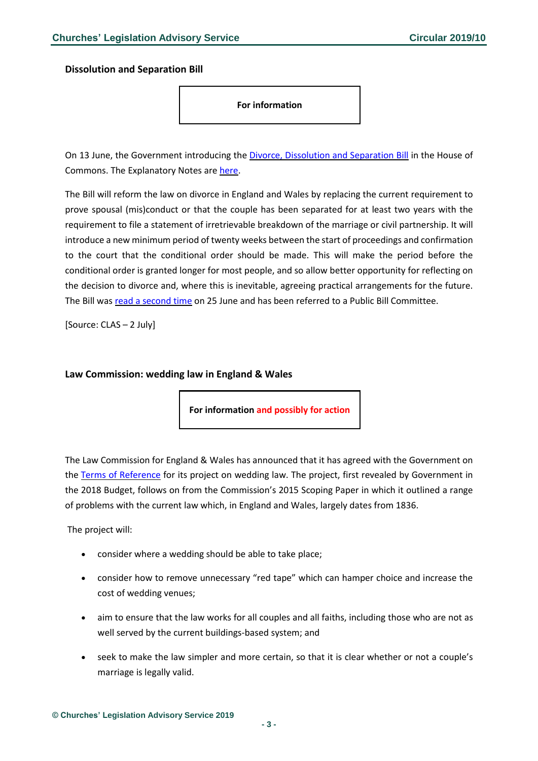<span id="page-2-0"></span>**Dissolution and Separation Bill**

**For information**

On 13 June, the Government introducing the Divorce, [Dissolution](https://publications.parliament.uk/pa/bills/cbill/2017-2019/0404/cbill_2017-20190404_en_1.htm) and Separation Bill in the House of Commons. The Explanatory Notes are [here.](https://publications.parliament.uk/pa/bills/cbill/2017-2019/0404/en/19404en.pdf)

The Bill will reform the law on divorce in England and Wales by replacing the current requirement to prove spousal (mis)conduct or that the couple has been separated for at least two years with the requirement to file a statement of irretrievable breakdown of the marriage or civil partnership. It will introduce a new minimum period of twenty weeks between the start of proceedings and confirmation to the court that the conditional order should be made. This will make the period before the conditional order is granted longer for most people, and so allow better opportunity for reflecting on the decision to divorce and, where this is inevitable, agreeing practical arrangements for the future. The Bill was read a [second](https://hansard.parliament.uk/commons/2019-06-25/debates/BEF1408D-1207-4133-ADD1-D90A05DFF17A/DivorceDissolutionAndSeparationBill) time on 25 June and has been referred to a Public Bill Committee.

[Source: CLAS – 2 July]

#### <span id="page-2-1"></span>**Law Commission: wedding law in England & Wales**

**For information and possibly for action**

The Law Commission for England & Wales has announced that it has agreed with the Government on the Terms of [Reference](https://s3-eu-west-2.amazonaws.com/lawcom-prod-storage-11jsxou24uy7q/uploads/2019/07/Terms-of-reference-for-the-Law-Commission-review-of-weddings-FINAL.pdf) for its project on wedding law. The project, first revealed by Government in the 2018 Budget, follows on from the Commission's 2015 Scoping Paper in which it outlined a range of problems with the current law which, in England and Wales, largely dates from 1836.

The project will:

- consider where a wedding should be able to take place;
- consider how to remove unnecessary "red tape" which can hamper choice and increase the cost of wedding venues;
- aim to ensure that the law works for all couples and all faiths, including those who are not as well served by the current buildings-based system; and
- seek to make the law simpler and more certain, so that it is clear whether or not a couple's marriage is legally valid.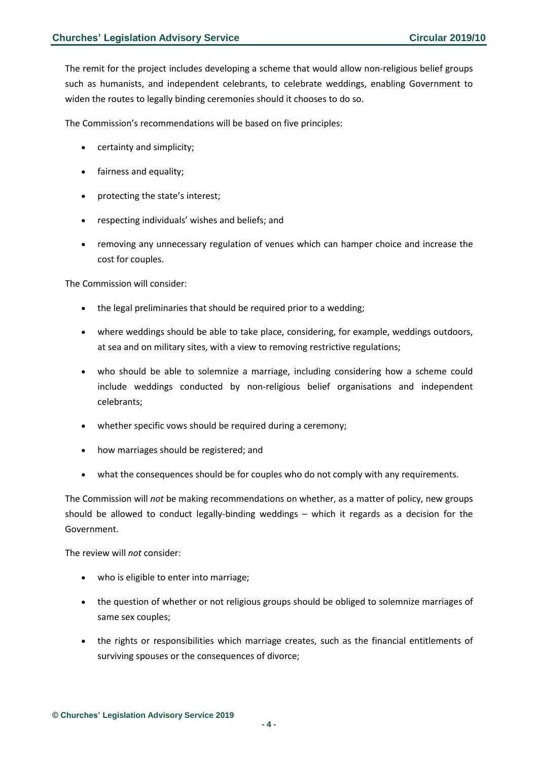The remit for the project includes developing a scheme that would allow non-religious belief groups such as humanists, and independent celebrants, to celebrate weddings, enabling Government to widen the routes to legally binding ceremonies should it chooses to do so.

The Commission's recommendations will be based on five principles:

- certainty and simplicity;
- fairness and equality;
- protecting the state's interest;
- respecting individuals' wishes and beliefs; and
- removing any unnecessary regulation of venues which can hamper choice and increase the cost for couples.

The Commission will consider:

- the legal preliminaries that should be required prior to a wedding;
- where weddings should be able to take place, considering, for example, weddings outdoors, at sea and on military sites, with a view to removing restrictive regulations;
- who should be able to solemnize a marriage, including considering how a scheme could include weddings conducted by non-religious belief organisations and independent celebrants;
- whether specific vows should be required during a ceremony;
- how marriages should be registered; and
- what the consequences should be for couples who do not comply with any requirements.

The Commission will *not* be making recommendations on whether, as a matter of policy, new groups should be allowed to conduct legally-binding weddings – which it regards as a decision for the Government.

The review will *not* consider:

- who is eligible to enter into marriage;
- the question of whether or not religious groups should be obliged to solemnize marriages of same sex couples;
- the rights or responsibilities which marriage creates, such as the financial entitlements of surviving spouses or the consequences of divorce;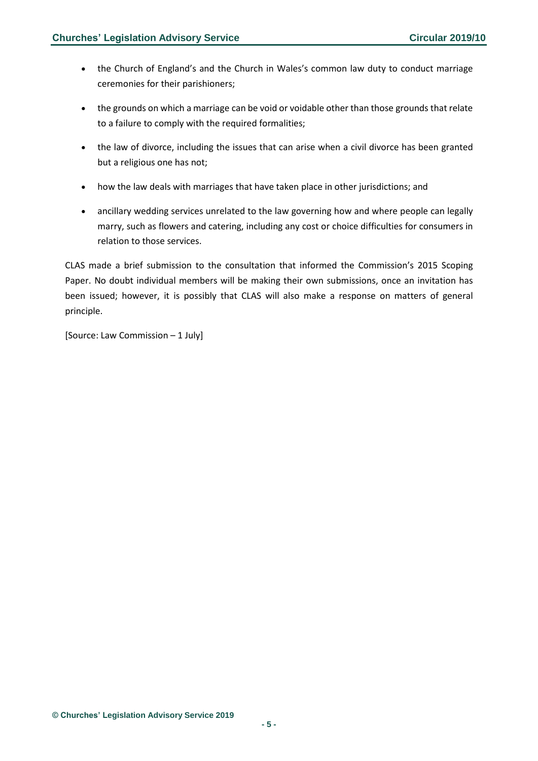- the Church of England's and the Church in Wales's common law duty to conduct marriage ceremonies for their parishioners;
- the grounds on which a marriage can be void or voidable other than those grounds that relate to a failure to comply with the required formalities;
- the law of divorce, including the issues that can arise when a civil divorce has been granted but a religious one has not;
- how the law deals with marriages that have taken place in other jurisdictions; and
- ancillary wedding services unrelated to the law governing how and where people can legally marry, such as flowers and catering, including any cost or choice difficulties for consumers in relation to those services.

CLAS made a brief submission to the consultation that informed the Commission's 2015 Scoping Paper. No doubt individual members will be making their own submissions, once an invitation has been issued; however, it is possibly that CLAS will also make a response on matters of general principle.

[Source: Law Commission – 1 July]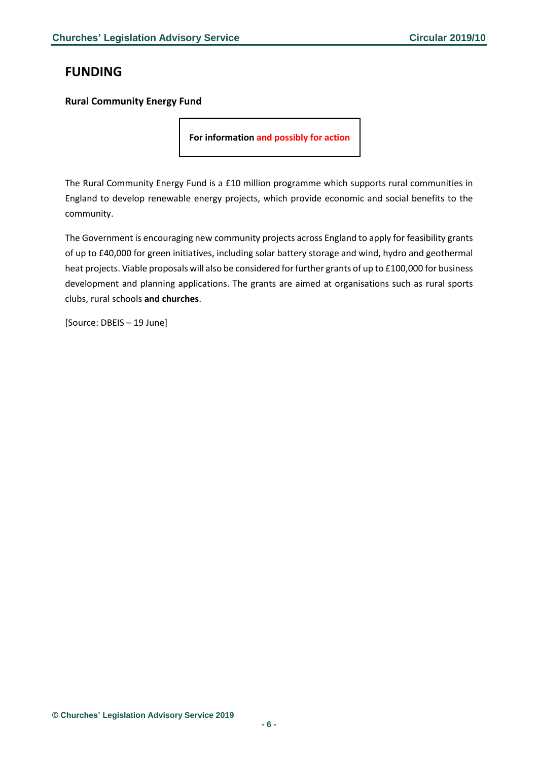### <span id="page-5-0"></span>**FUNDING**

#### <span id="page-5-1"></span>**Rural Community Energy Fund**

**For information and possibly for action**

The Rural Community Energy Fund is a £10 million programme which supports rural communities in England to develop renewable energy projects, which provide economic and social benefits to the community.

The Government is encouraging new community projects across England to apply for feasibility grants of up to £40,000 for green initiatives, including solar battery storage and wind, hydro and geothermal heat projects. Viable proposals will also be considered for further grants of up to £100,000 for business development and planning applications. The grants are aimed at organisations such as rural sports clubs, rural schools **and churches**.

[Source: DBEIS – 19 June]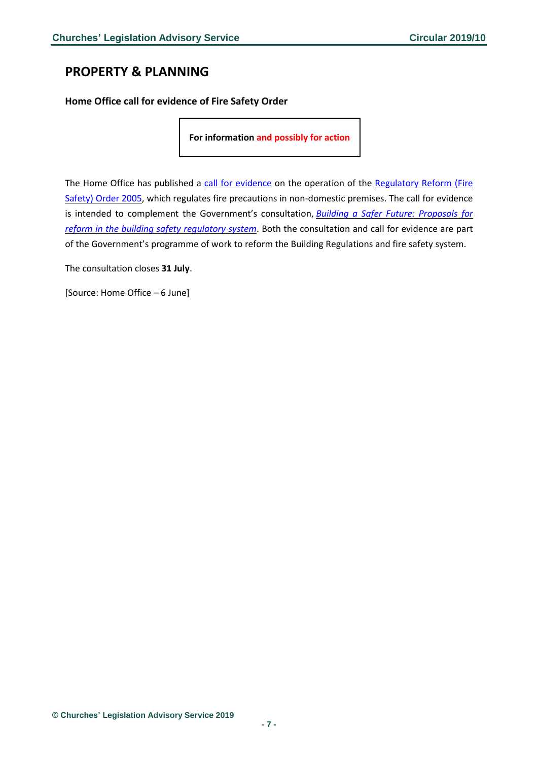### <span id="page-6-0"></span>**PROPERTY & PLANNING**

<span id="page-6-1"></span>**Home Office call for evidence of Fire Safety Order**

**For information and possibly for action**

The Home Office has published a call for [evidence](https://www.gov.uk/government/consultations/the-regulatory-reform-fire-safety-order-2005-call-for-evidence) on the operation of the [Regulatory](https://www.legislation.gov.uk/uksi/2005/1541/contents/made) Reform (Fire [Safety\)](https://www.legislation.gov.uk/uksi/2005/1541/contents/made) Order 2005, which regulates fire precautions in non-domestic premises. The call for evidence is intended to complement the Government's consultation, *Building a Safer Future: [Proposals](https://www.gov.uk/government/consultations/building-a-safer-future-proposals-for-reform-of-the-building-safety-regulatory-system) for reform in the building safety [regulatory](https://www.gov.uk/government/consultations/building-a-safer-future-proposals-for-reform-of-the-building-safety-regulatory-system) system*. Both the consultation and call for evidence are part of the Government's programme of work to reform the Building Regulations and fire safety system.

The consultation closes **31 July**.

[Source: Home Office – 6 June]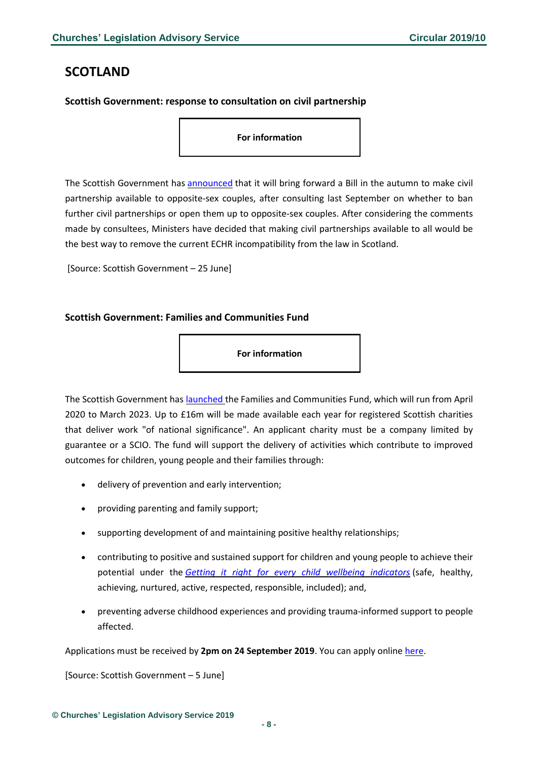### <span id="page-7-0"></span>**SCOTLAND**

#### <span id="page-7-1"></span>**Scottish Government: response to consultation on civil partnership**

**For information**

The Scottish Government has [announced](https://news.gov.scot/news/civil-partnerships-to-be-extended-to-all) that it will bring forward a Bill in the autumn to make civil partnership available to opposite-sex couples, after consulting last September on whether to ban further civil partnerships or open them up to opposite-sex couples. After considering the comments made by consultees, Ministers have decided that making civil partnerships available to all would be the best way to remove the current ECHR incompatibility from the law in Scotland.

[Source: Scottish Government – 25 June]

#### <span id="page-7-2"></span>**Scottish Government: Families and Communities Fund**

**For information**

The Scottish Government has [launched](https://www.oscr.org.uk/news/families-and-communities-fund/) the Families and Communities Fund, which will run from April 2020 to March 2023. Up to £16m will be made available each year for registered Scottish charities that deliver work "of national significance". An applicant charity must be a company limited by guarantee or a SCIO. The fund will support the delivery of activities which contribute to improved outcomes for children, young people and their families through:

- delivery of prevention and early intervention;
- providing parenting and family support;
- supporting development of and maintaining positive healthy relationships;
- contributing to positive and sustained support for children and young people to achieve their potential under the *Getting it right for every child wellbeing [indicators](https://www.gov.scot/policies/girfec/)* (safe, healthy, achieving, nurtured, active, respected, responsible, included); and,
- preventing adverse childhood experiences and providing trauma-informed support to people affected.

Applications must be received by **2pm on 24 September 2019**. You can apply online [here.](https://www.corra.scot/grants/families-and-communities-fund/)

[Source: Scottish Government – 5 June]